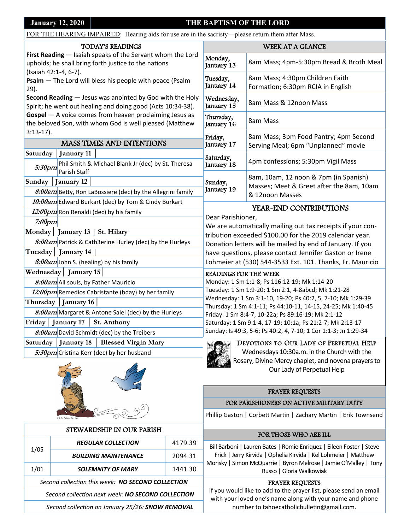### **January 12, 2020** THE BAPTISM OF THE LORD

| FOR THE HEARING IMPAIRED: Hearing aids for use are in the sacristy—please return them after Mass.                       |                                                                                    |                         |                                                                                                                                                                                                                                                                                                                                                                                                                                                                     |                                          |  |  |
|-------------------------------------------------------------------------------------------------------------------------|------------------------------------------------------------------------------------|-------------------------|---------------------------------------------------------------------------------------------------------------------------------------------------------------------------------------------------------------------------------------------------------------------------------------------------------------------------------------------------------------------------------------------------------------------------------------------------------------------|------------------------------------------|--|--|
| <b>TODAY'S READINGS</b>                                                                                                 |                                                                                    |                         |                                                                                                                                                                                                                                                                                                                                                                                                                                                                     | <b>WEEK AT A GLANCE</b>                  |  |  |
| First Reading - Isaiah speaks of the Servant whom the Lord<br>upholds; he shall bring forth justice to the nations      |                                                                                    | Monday,<br>January 13   | 8am Mass; 4pm-5:30pm Bread & Broth Meal                                                                                                                                                                                                                                                                                                                                                                                                                             |                                          |  |  |
| (Isaiah 42:1-4, 6-7).<br>Psalm - The Lord will bless his people with peace (Psalm<br>$29$ ).                            |                                                                                    | Tuesday,<br>January 14  | 8am Mass; 4:30pm Children Faith<br>Formation; 6:30pm RCIA in English                                                                                                                                                                                                                                                                                                                                                                                                |                                          |  |  |
| Second Reading - Jesus was anointed by God with the Holy<br>Spirit; he went out healing and doing good (Acts 10:34-38). |                                                                                    |                         | Wednesday,<br>January 15                                                                                                                                                                                                                                                                                                                                                                                                                                            | 8am Mass & 12noon Mass                   |  |  |
| Gospel - A voice comes from heaven proclaiming Jesus as<br>the beloved Son, with whom God is well pleased (Matthew      |                                                                                    | Thursday,<br>January 16 | 8am Mass                                                                                                                                                                                                                                                                                                                                                                                                                                                            |                                          |  |  |
| $3:13-17$ ).                                                                                                            |                                                                                    |                         | Friday,<br>January 17                                                                                                                                                                                                                                                                                                                                                                                                                                               | 8am Mass; 3pm Food Pantry; 4pm Second    |  |  |
| <b>MASS TIMES AND INTENTIONS</b>                                                                                        |                                                                                    |                         |                                                                                                                                                                                                                                                                                                                                                                                                                                                                     | Serving Meal; 6pm "Unplanned" movie      |  |  |
|                                                                                                                         | Saturday   January 11<br>5:30pm Phil Smith & Michael Blank Jr (dec) by St. Theresa |                         | Saturday,<br>January 18                                                                                                                                                                                                                                                                                                                                                                                                                                             | 4pm confessions; 5:30pm Vigil Mass       |  |  |
|                                                                                                                         | Parish Staff                                                                       |                         |                                                                                                                                                                                                                                                                                                                                                                                                                                                                     | 8am, 10am, 12 noon & 7pm (in Spanish)    |  |  |
| Sunday<br>January 12                                                                                                    |                                                                                    |                         | Sunday,<br>January 19                                                                                                                                                                                                                                                                                                                                                                                                                                               | Masses; Meet & Greet after the 8am, 10am |  |  |
|                                                                                                                         | 8:00am Betty, Ron LaBossiere (dec) by the Allegrini family                         |                         |                                                                                                                                                                                                                                                                                                                                                                                                                                                                     | & 12noon Masses                          |  |  |
| 10:00am Edward Burkart (dec) by Tom & Cindy Burkart                                                                     |                                                                                    |                         |                                                                                                                                                                                                                                                                                                                                                                                                                                                                     |                                          |  |  |
| 12:00pm Ron Renaldi (dec) by his family                                                                                 |                                                                                    |                         | YEAR-END CONTRIBUTIONS<br>Dear Parishioner,<br>We are automatically mailing out tax receipts if your con-<br>tribution exceeded \$100.00 for the 2019 calendar year.<br>Donation letters will be mailed by end of January. If you                                                                                                                                                                                                                                   |                                          |  |  |
| $7:00$ pm                                                                                                               |                                                                                    |                         |                                                                                                                                                                                                                                                                                                                                                                                                                                                                     |                                          |  |  |
| Monday   January 13   St. Hilary                                                                                        |                                                                                    |                         |                                                                                                                                                                                                                                                                                                                                                                                                                                                                     |                                          |  |  |
| 8:00am Patrick & Cath3erine Hurley (dec) by the Hurleys                                                                 |                                                                                    |                         |                                                                                                                                                                                                                                                                                                                                                                                                                                                                     |                                          |  |  |
|                                                                                                                         | Tuesday   January 14                                                               |                         | have questions, please contact Jennifer Gaston or Irene                                                                                                                                                                                                                                                                                                                                                                                                             |                                          |  |  |
| 8:00am John S. (healing) by his family                                                                                  |                                                                                    |                         | Lohmeier at (530) 544-3533 Ext. 101. Thanks, Fr. Mauricio                                                                                                                                                                                                                                                                                                                                                                                                           |                                          |  |  |
| Wednesday   January 15                                                                                                  |                                                                                    |                         | <b>READINGS FOR THE WEEK</b>                                                                                                                                                                                                                                                                                                                                                                                                                                        |                                          |  |  |
| 8:00am All souls, by Father Mauricio                                                                                    |                                                                                    |                         | Monday: 1 Sm 1:1-8; Ps 116:12-19; Mk 1:14-20<br>Tuesday: 1 Sm 1:9-20; 1 Sm 2:1, 4-8abcd; Mk 1:21-28<br>Wednesday: 1 Sm 3:1-10, 19-20; Ps 40:2, 5, 7-10; Mk 1:29-39<br>Thursday: 1 Sm 4:1-11; Ps 44:10-11, 14-15, 24-25; Mk 1:40-45<br>Friday: 1 Sm 8:4-7, 10-22a; Ps 89:16-19; Mk 2:1-12<br>Saturday: 1 Sm 9:1-4, 17-19; 10:1a; Ps 21:2-7; Mk 2:13-17<br>Sunday: Is 49:3, 5-6; Ps 40:2, 4, 7-10; 1 Cor 1:1-3; Jn 1:29-34<br>DEVOTIONS TO OUR LADY OF PERPETUAL HELP |                                          |  |  |
| 12:00pm Remedios Cabristante (bday) by her family                                                                       |                                                                                    |                         |                                                                                                                                                                                                                                                                                                                                                                                                                                                                     |                                          |  |  |
|                                                                                                                         |                                                                                    |                         |                                                                                                                                                                                                                                                                                                                                                                                                                                                                     |                                          |  |  |
| Thursday   January 16                                                                                                   |                                                                                    |                         |                                                                                                                                                                                                                                                                                                                                                                                                                                                                     |                                          |  |  |
| 8:00am Margaret & Antone Salel (dec) by the Hurleys                                                                     |                                                                                    |                         |                                                                                                                                                                                                                                                                                                                                                                                                                                                                     |                                          |  |  |
| Friday   January 17   St. Anthony                                                                                       |                                                                                    |                         |                                                                                                                                                                                                                                                                                                                                                                                                                                                                     |                                          |  |  |
| 8:00am David Schmidt (dec) by the Treibers                                                                              |                                                                                    |                         |                                                                                                                                                                                                                                                                                                                                                                                                                                                                     |                                          |  |  |
| $\int$ January 18<br>Saturday<br><b>Blessed Virgin Mary</b>                                                             |                                                                                    |                         |                                                                                                                                                                                                                                                                                                                                                                                                                                                                     |                                          |  |  |
|                                                                                                                         | 5:30pm Cristina Kerr (dec) by her husband                                          |                         | Wednesdays 10:30a.m. in the Church with the                                                                                                                                                                                                                                                                                                                                                                                                                         |                                          |  |  |
|                                                                                                                         |                                                                                    |                         | Rosary, Divine Mercy chaplet, and novena prayers to<br>Our Lady of Perpetual Help                                                                                                                                                                                                                                                                                                                                                                                   |                                          |  |  |
|                                                                                                                         |                                                                                    |                         | PRAYER REQUESTS                                                                                                                                                                                                                                                                                                                                                                                                                                                     |                                          |  |  |
|                                                                                                                         |                                                                                    |                         |                                                                                                                                                                                                                                                                                                                                                                                                                                                                     | FOR PARISHIONERS ON ACTIVE MILITARY DUTY |  |  |
|                                                                                                                         |                                                                                    |                         | Phillip Gaston   Corbett Martin   Zachary Martin   Erik Townsend                                                                                                                                                                                                                                                                                                                                                                                                    |                                          |  |  |
| STEWARDSHIP IN OUR PARISH                                                                                               |                                                                                    |                         | FOR THOSE WHO ARE ILL                                                                                                                                                                                                                                                                                                                                                                                                                                               |                                          |  |  |
| 1/05                                                                                                                    | <b>REGULAR COLLECTION</b>                                                          | 4179.39                 | Bill Barboni   Lauren Bates   Romie Enriquez   Eileen Foster   Steve                                                                                                                                                                                                                                                                                                                                                                                                |                                          |  |  |
|                                                                                                                         | <b>BUILDING MAINTENANCE</b>                                                        | 2094.31                 | Frick   Jerry Kirvida   Ophelia Kirvida   Kel Lohmeier   Matthew<br>Morisky   Simon McQuarrie   Byron Melrose   Jamie O'Malley   Tony<br>Russo   Gloria Walkowiak                                                                                                                                                                                                                                                                                                   |                                          |  |  |
| 1/01                                                                                                                    | <b>SOLEMNITY OF MARY</b>                                                           | 1441.30                 |                                                                                                                                                                                                                                                                                                                                                                                                                                                                     |                                          |  |  |
| Second collection this week: NO SECOND COLLECTION                                                                       |                                                                                    |                         | PRAYER REQUESTS<br>If you would like to add to the prayer list, please send an email<br>with your loved one's name along with your name and phone<br>number to tahoecatholicbulletin@gmail.com.                                                                                                                                                                                                                                                                     |                                          |  |  |
| Second collection next week: NO SECOND COLLECTION                                                                       |                                                                                    |                         |                                                                                                                                                                                                                                                                                                                                                                                                                                                                     |                                          |  |  |
| Second collection on January 25/26: SNOW REMOVAL                                                                        |                                                                                    |                         |                                                                                                                                                                                                                                                                                                                                                                                                                                                                     |                                          |  |  |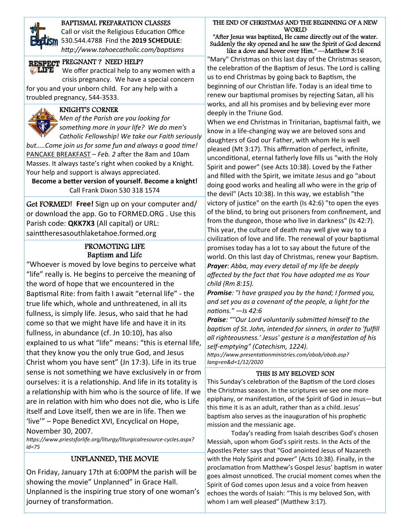

### BAPTISMAL PREPARATION CLASSES

 *hƩp://www.tahoecatholic.com/bapƟsms* Call or visit the Religious Education Office 530.544.4788 Find the **2019 SCHEDULE**:

### RESPECT PREGNANT? NEED HELP?

 crisis pregnancy. We have a special concern We offer practical help to any women with a

for you and your unborn child. For any help with a troubled pregnancy, 544‐3533.

### KNIGHT'S CORNER

 *Catholic Fellowship! We take our Faith seriously Men of the Parish are you looking for something more in your life? We do men's* 

*but.....Come join us for some fun and always a good time!* PANCAKE BREAKFAST - Feb. 2 after the 8am and 10am Masses. It always taste's right when cooked by a Knight. Your help and support is always appreciated.

**Become a beƩer version of yourself. Become a knight!** Call Frank Dixon 530 318 1574

Get FORMED! **Free!** Sign up on your computer and/ or download the app. Go to FORMED.ORG . Use this Parish code: **QKK7X3** (All capital) or URL: sainttheresasouthlaketahoe.formed.org

### PROMOTING LIFE Baptism and Life

"Whoever is moved by love begins to perceive what "life" really is. He begins to perceive the meaning of the word of hope that we encountered in the Baptismal Rite: from faith I await "eternal life" - the true life which, whole and unthreatened, in all its fullness, is simply life. Jesus, who said that he had come so that we might have life and have it in its fullness, in abundance (cf. Jn 10:10), has also explained to us what "life" means: "this is eternal life, that they know you the only true God, and Jesus Christ whom you have sent" (Jn 17:3). Life in its true sense is not something we have exclusively in or from ourselves: it is a relationship. And life in its totality is a relationship with him who is the source of life. If we are in relation with him who does not die, who is Life itself and Love itself, then we are in life. Then we 'live'" – Pope Benedict XVI, Encyclical on Hope, November 30, 2007.

*hƩps://www.priestsforlife.org/liturgy/liturgicalresource‐cycles.aspx? id=75*

### UNPLANNED, THE MOVIE

On Friday, January 17th at 6:00PM the parish will be showing the movie" Unplanned" in Grace Hall. Unplanned is the inspiring true story of one woman's journey of transformation.

THE END OF CHRISTMAS AND THE BEGINNING OF A NEW WORLD

"After Jesus was baptized, He came directly out of the water. Suddenly the sky opened and he saw the Spirit of God descend like a dove and hover over Him." —Matthew 3:16

"Mary" Christmas on this last day of the Christmas season, the celebration of the Baptism of Jesus. The Lord is calling us to end Christmas by going back to Baptism, the beginning of our Christian life. Today is an ideal time to renew our baptismal promises by rejecting Satan, all his works, and all his promises and by believing ever more deeply in the Triune God.

When we end Christmas in Trinitarian, baptismal faith, we know in a life‐changing way we are beloved sons and daughters of God our Father, with whom He is well pleased (Mt 3:17). This affirmation of perfect, infinite, unconditional, eternal fatherly love fills us "with the Holy Spirit and power" (see Acts 10:38). Loved by the Father and filled with the Spirit, we imitate Jesus and go "about doing good works and healing all who were in the grip of the devil" (Acts 10:38). In this way, we establish "the victory of justice" on the earth (Is 42:6) "to open the eyes of the blind, to bring out prisoners from confinement, and from the dungeon, those who live in darkness" (Is 42:7). This year, the culture of death may well give way to a civilization of love and life. The renewal of your baptismal promises today has a lot to say about the future of the world. On this last day of Christmas, renew your Baptism. *Prayer: Abba, may every detail of my life be deeply affected by the fact that You have adopted me as Your child (Rm 8:15).* 

*Promise: "I have grasped you by the hand; I formed you, and set you as a covenant of the people, a light for the naƟons." —Is 42:6* 

*Praise: ""Our Lord voluntarily submiƩed himself to the bapƟsm of St. John, intended for sinners, in order to 'fulfill all righteousness.' Jesus' gesture is a manifestaƟon of his self‐emptying" (Catechism, 1224).* 

*hƩps://www.presentaƟonministries.com/obob/obob.asp? lang=en&d=1/12/2020* 

#### THIS IS MY BELOVED SON

This Sunday's celebration of the Baptism of the Lord closes the Christmas season. In the scriptures we see one more epiphany, or manifestation, of the Spirit of God in Jesus-but this time it is as an adult, rather than as a child. Jesus' baptism also serves as the inauguration of his prophetic mission and the messianic age.

 Today's reading from Isaiah describes God's chosen Messiah, upon whom God's spirit rests. In the Acts of the Apostles Peter says that "God anointed Jesus of Nazareth with the Holy Spirit and power" (Acts 10:38). Finally, in the proclamation from Matthew's Gospel Jesus' baptism in water goes almost unnoticed. The crucial moment comes when the Spirit of God comes upon Jesus and a voice from heaven echoes the words of Isaiah: "This is my beloved Son, with whom I am well pleased" (Matthew 3:17).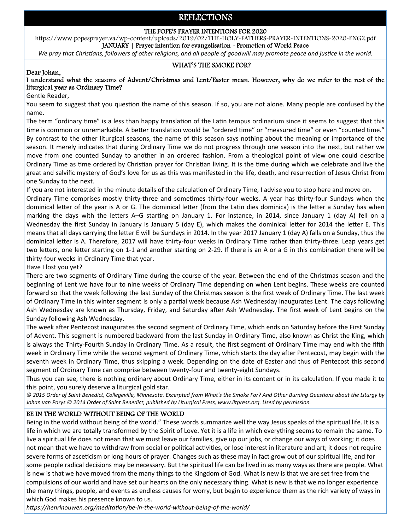### REFLECTIONS

#### THE POPE'S PRAYER INTENTIONS FOR 2020

https://www.popesprayer.va/wp-content/uploads/2019/02/THE-HOLY-FATHERS-PRAYER-INTENTIONS-2020-ENG2.pdf JANUARY | Prayer intention for evangelisation - Promotion of World Peace

*We pray that Christians, followers of other religions, and all people of goodwill may promote peace and justice in the world.* 

#### WHAT'S THE SMOKE FOR?

#### Dear Johan,

### I understand what the seasons of Advent/Christmas and Lent/Easter mean. However, why do we refer to the rest of the liturgical year as Ordinary Time?

Gentle Reader,

You seem to suggest that you question the name of this season. If so, you are not alone. Many people are confused by the name.

The term "ordinary time" is a less than happy translation of the Latin tempus ordinarium since it seems to suggest that this time is common or unremarkable. A better translation would be "ordered time" or "measured time" or even "counted time." By contrast to the other liturgical seasons, the name of this season says nothing about the meaning or importance of the season. It merely indicates that during Ordinary Time we do not progress through one season into the next, but rather we move from one counted Sunday to another in an ordered fashion. From a theological point of view one could describe Ordinary Time as time ordered by Christian prayer for Christian living. It is the time during which we celebrate and live the great and salvific mystery of God's love for us as this was manifested in the life, death, and resurrection of Jesus Christ from one Sunday to the next.

If you are not interested in the minute details of the calculation of Ordinary Time, I advise you to stop here and move on.

Ordinary Time comprises mostly thirty-three and sometimes thirty-four weeks. A year has thirty-four Sundays when the dominical letter of the year is A or G. The dominical letter (from the Latin dies dominica) is the letter a Sunday has when marking the days with the letters A–G starting on January 1. For instance, in 2014, since January 1 (day A) fell on a Wednesday the first Sunday in January is January 5 (day E), which makes the dominical letter for 2014 the letter E. This means that all days carrying the letter E will be Sundays in 2014. In the year 2017 January 1 (day A) falls on a Sunday, thus the dominical letter is A. Therefore, 2017 will have thirty-four weeks in Ordinary Time rather than thirty-three. Leap years get two letters, one letter starting on 1-1 and another starting on 2-29. If there is an A or a G in this combination there will be thirty‐four weeks in Ordinary Time that year.

Have I lost you yet?

There are two segments of Ordinary Time during the course of the year. Between the end of the Christmas season and the beginning of Lent we have four to nine weeks of Ordinary Time depending on when Lent begins. These weeks are counted forward so that the week following the last Sunday of the Christmas season is the first week of Ordinary Time. The last week of Ordinary Time in this winter segment is only a partial week because Ash Wednesday inaugurates Lent. The days following Ash Wednesday are known as Thursday, Friday, and Saturday after Ash Wednesday. The first week of Lent begins on the Sunday following Ash Wednesday.

The week after Pentecost inaugurates the second segment of Ordinary Time, which ends on Saturday before the First Sunday of Advent. This segment is numbered backward from the last Sunday in Ordinary Time, also known as Christ the King, which is always the Thirty-Fourth Sunday in Ordinary Time. As a result, the first segment of Ordinary Time may end with the fifth week in Ordinary Time while the second segment of Ordinary Time, which starts the day after Pentecost, may begin with the seventh week in Ordinary Time, thus skipping a week. Depending on the date of Easter and thus of Pentecost this second segment of Ordinary Time can comprise between twenty‐four and twenty‐eight Sundays.

Thus you can see, there is nothing ordinary about Ordinary Time, either in its content or in its calculation. If you made it to this point, you surely deserve a liturgical gold star.

*© 2015 Order of Saint Benedict, Collegeville, Minnesota. Excerpted from What's the Smoke For? And Other Burning QuesƟons about the Liturgy by*  Johan van Parys © 2014 Order of Saint Benedict, published by Liturgical Press, www.litpress.org. Used by permission.

### BE IN THE WORLD WITHOUT BEING OF THE WORLD

Being in the world without being of the world." These words summarize well the way Jesus speaks of the spiritual life. It is a life in which we are totally transformed by the Spirit of Love. Yet it is a life in which everything seems to remain the same. To live a spiritual life does not mean that we must leave our families, give up our jobs, or change our ways of working; it does not mean that we have to withdraw from social or political activities, or lose interest in literature and art; it does not require severe forms of asceticism or long hours of prayer. Changes such as these may in fact grow out of our spiritual life, and for some people radical decisions may be necessary. But the spiritual life can be lived in as many ways as there are people. What is new is that we have moved from the many things to the Kingdom of God. What is new is that we are set free from the compulsions of our world and have set our hearts on the only necessary thing. What is new is that we no longer experience the many things, people, and events as endless causes for worry, but begin to experience them as the rich variety of ways in which God makes his presence known to us.

*hƩps://henrinouwen.org/meditaƟon/be‐in‐the‐world‐without‐being‐of‐the‐world/*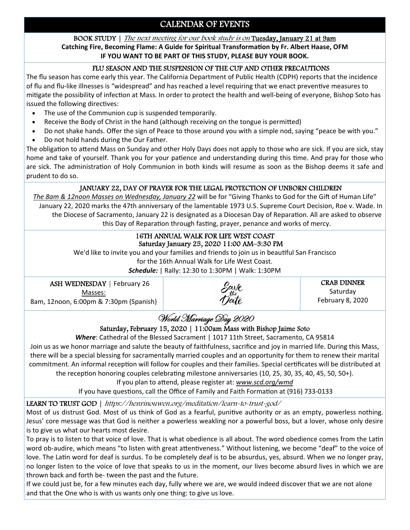## CALENDAR OF EVENTS

#### BOOK STUDY | The next meeting for our book study is on Tuesday, January 21 at 9am **Catching Fire, Becoming Flame: A Guide for Spiritual TransformaƟon by Fr. Albert Haase, OFM**

**IF YOU WANT TO BE PART OF THIS STUDY, PLEASE BUY YOUR BOOK.**

### FLU SEASON AND THE SUSPENSION OF THE CUP AND OTHER PRECAUTIONS

The flu season has come early this year. The California Department of Public Health (CDPH) reports that the incidence of flu and flu-like illnesses is "widespread" and has reached a level requiring that we enact preventive measures to mitigate the possibility of infection at Mass. In order to protect the health and well-being of everyone, Bishop Soto has issued the following directives:

- The use of the Communion cup is suspended temporarily.
- Receive the Body of Christ in the hand (although receiving on the tongue is permitted)
- Do not shake hands. Offer the sign of Peace to those around you with a simple nod, saying "peace be with you."
- Do not hold hands during the Our Father.

The obligation to attend Mass on Sunday and other Holy Days does not apply to those who are sick. If you are sick, stay home and take of yourself. Thank you for your patience and understanding during this time. And pray for those who are sick. The administration of Holy Communion in both kinds will resume as soon as the Bishop deems it safe and prudent to do so.

### JANUARY 22, DAY OF PRAYER FOR THE LEGAL PROTECTION OF UNBORN CHILDREN

The 8am & 12noon Masses on Wednesday, January 22 will be for "Giving Thanks to God for the Gift of Human Life" January 22, 2020 marks the 47th anniversary of the lamentable 1973 U.S. Supreme Court Decision, Roe v. Wade. In the Diocese of Sacramento, January 22 is designated as a Diocesan Day of Reparation. All are asked to observe this Day of Reparation through fasting, prayer, penance and works of mercy.

#### 16TH ANNUAL WALK FOR LIFE WEST COAST Saturday January 25, 2020 11:00 AM–3:30 PM

We'd like to invite you and your families and friends to join us in beautiful San Francisco

for the 16th Annual Walk for Life West Coast.

*Schedule:* | Rally: 12:30 to 1:30PM | Walk: 1:30PM

ASH WEDNESDAY | February 26 Masses: 8am, 12noon, 6:00pm & 7:30pm (Spanish)



CRAB DINNER Saturday February 8, 2020

# World Marriage Day 2020

### Saturday, February 15, 2020 | 11:00am Mass with Bishop Jaime Soto

*Where*: Cathedral of the Blessed Sacrament | 1017 11th Street, Sacramento, CA 95814

Join us as we honor marriage and salute the beauty of faithfulness, sacrifice and joy in married life. During this Mass, there will be a special blessing for sacramentally married couples and an opportunity for them to renew their marital commitment. An informal reception will follow for couples and their families. Special certificates will be distributed at the reception honoring couples celebrating milestone anniversaries (10, 25, 30, 35, 40, 45, 50, 50+).

If you plan to attend, please register at: www.scd.org/wmd

If you have questions, call the Office of Family and Faith Formation at (916) 733-0133

### LEARN TO TRUST GOD | https://henrinouwen.org/meditation/learn-to-trust-god/

Most of us distrust God. Most of us think of God as a fearful, punitive authority or as an empty, powerless nothing. Jesus' core message was that God is neither a powerless weakling nor a powerful boss, but a lover, whose only desire is to give us what our hearts most desire.

To pray is to listen to that voice of love. That is what obedience is all about. The word obedience comes from the Latin word ob-audire, which means "to listen with great attentiveness." Without listening, we become "deaf" to the voice of love. The Latin word for deaf is surdus. To be completely deaf is to be absurdus, yes, absurd. When we no longer pray, no longer listen to the voice of love that speaks to us in the moment, our lives become absurd lives in which we are thrown back and forth be‐ tween the past and the future.

If we could just be, for a few minutes each day, fully where we are, we would indeed discover that we are not alone and that the One who is with us wants only one thing: to give us love.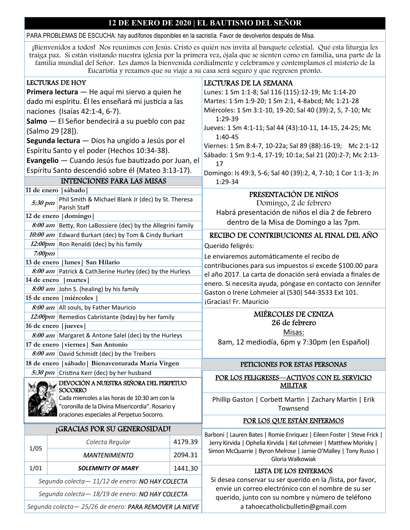### **12 DE ENERO DE 2020 | EL BAUTISMO DEL SEÑOR**

PARA PROBLEMAS DE ESCUCHA: hay audífonos disponibles en la sacristía. Favor de devolverlos después de Misa.

¡Bienvenidos a todos! Nos reunimos con Jesús. Cristo es quién nos invita al banquete celestial. Qué esta liturgia les traiga paz. Si están visitando nuestra iglesia por la primera vez, ójala que se sienten como en familia, una parte de la familia mundial del Señor. Les damos la bienvenida cordialmente y celebramos y contemplamos el misterio de la Eucaristía y rezamos que su viaje a su casa será seguro y que regresen pronto.

| <b>LECTURAS DE HOY</b>                                      |         | LECTURAS DE LA SEMANA                                                                                                                                                                                                            |  |
|-------------------------------------------------------------|---------|----------------------------------------------------------------------------------------------------------------------------------------------------------------------------------------------------------------------------------|--|
| Primera lectura - He aquí mi siervo a quien he              |         | Lunes: 1 Sm 1:1-8; Sal 116 (115):12-19; Mc 1:14-20                                                                                                                                                                               |  |
| dado mi espíritu. Él les enseñará mi justicia a las         |         | Martes: 1 Sm 1:9-20; 1 Sm 2:1, 4-8abcd; Mc 1:21-28                                                                                                                                                                               |  |
| naciones (Isaías 42:1-4, 6-7).                              |         | Miércoles: 1 Sm 3:1-10, 19-20; Sal 40 (39):2, 5, 7-10; Mc                                                                                                                                                                        |  |
| Salmo - El Señor bendecirá a su pueblo con paz              |         | 1:29-39                                                                                                                                                                                                                          |  |
| (Salmo 29 [28]).                                            |         | Jueves: 1 Sm 4:1-11; Sal 44 (43):10-11, 14-15, 24-25; Mc                                                                                                                                                                         |  |
| Segunda lectura - Dios ha ungido a Jesús por el             |         | $1:40-45$                                                                                                                                                                                                                        |  |
| Espíritu Santo y el poder (Hechos 10:34-38).                |         | Viernes: 1 Sm 8:4-7, 10-22a; Sal 89 (88):16-19; Mc 2:1-12                                                                                                                                                                        |  |
| Evangelio - Cuando Jesús fue bautizado por Juan, el         |         | Sábado: 1 Sm 9:1-4, 17-19; 10:1a; Sal 21 (20):2-7; Mc 2:13-                                                                                                                                                                      |  |
| Espíritu Santo descendió sobre él (Mateo 3:13-17).          |         | 17                                                                                                                                                                                                                               |  |
| <b>INTENCIONES PARA LAS MISAS</b>                           |         | Domingo: Is 49:3, 5-6; Sal 40 (39):2, 4, 7-10; 1 Cor 1:1-3; Jn<br>1:29-34                                                                                                                                                        |  |
| 11 de enero sábado                                          |         |                                                                                                                                                                                                                                  |  |
| Phil Smith & Michael Blank Jr (dec) by St. Theresa          |         | PRESENTACIÓN DE NIÑOS                                                                                                                                                                                                            |  |
| 5:30 pm<br>Parish Staff                                     |         | Domingo, 2 de febrero                                                                                                                                                                                                            |  |
| 12 de enero   domingo                                       |         | Habrá presentación de niños el día 2 de febrero                                                                                                                                                                                  |  |
| 8:00 am Betty, Ron LaBossiere (dec) by the Allegrini family |         | dentro de la Misa de Domingo a las 7pm.                                                                                                                                                                                          |  |
| 10:00 am Edward Burkart (dec) by Tom & Cindy Burkart        |         | RECIBO DE CONTRIBUCIONES AL FINAL DEL AÑO                                                                                                                                                                                        |  |
| 12:00pm Ron Renaldi (dec) by his family                     |         | Querido feligrés:                                                                                                                                                                                                                |  |
| $7:00$ pm                                                   |         | Le enviaremos automáticamente el recibo de                                                                                                                                                                                       |  |
| 13 de enero   lunes   San Hilario                           |         | contribuciones para sus impuestos si excede \$100.00 para                                                                                                                                                                        |  |
| 8:00 am Patrick & Cath3erine Hurley (dec) by the Hurleys    |         | el año 2017. La carta de donación será enviada a finales de<br>enero. Si necesita ayuda, póngase en contacto con Jennifer<br>Gaston o Irene Lohmeier al (530) 544-3533 Ext 101.<br>¡Gracias! Fr. Mauricio<br>MIÉRCOLES DE CENIZA |  |
| 14 de enero<br>  martes                                     |         |                                                                                                                                                                                                                                  |  |
| 8:00 am John S. (healing) by his family                     |         |                                                                                                                                                                                                                                  |  |
| 15 de enero   miércoles                                     |         |                                                                                                                                                                                                                                  |  |
| 8:00 am All souls, by Father Mauricio                       |         |                                                                                                                                                                                                                                  |  |
| 12:00pm Remedios Cabristante (bday) by her family           |         | 26 de febrero                                                                                                                                                                                                                    |  |
| 16 de enero   jueves                                        |         | Misas:<br>8am, 12 mediodía, 6pm y 7:30pm (en Español)                                                                                                                                                                            |  |
| 8:00 am Margaret & Antone Salel (dec) by the Hurleys        |         |                                                                                                                                                                                                                                  |  |
| 17 de enero   viernes   San Antonio                         |         |                                                                                                                                                                                                                                  |  |
| 8:00 am David Schmidt (dec) by the Treibers                 |         |                                                                                                                                                                                                                                  |  |
| 18 de enero   sábado   Bienaventurada María Virgen          |         | PETICIONES POR ESTAS PERSONAS                                                                                                                                                                                                    |  |
| 5:30 pm Cristina Kerr (dec) by her husband                  |         | POR LOS FELIGRESES—ACTIVOS CON EL SERVICIO<br><b>MILITAR</b>                                                                                                                                                                     |  |
| DEVOCIÓN A NUESTRA SEÑORA DEL PERPETUO<br><b>SOCORRO</b>    |         |                                                                                                                                                                                                                                  |  |
| Cada miercoles a las horas de 10:30 am con la               |         | Phillip Gaston   Corbett Martin   Zachary Martin   Erik<br>Townsend                                                                                                                                                              |  |
| "coronilla de la Divina Misericordia". Rosario y            |         |                                                                                                                                                                                                                                  |  |
| oraciones especiales al Perpetuo Socorro.                   |         | POR LOS QUE ESTÁN ENFERMOS                                                                                                                                                                                                       |  |
| <b>¡GRACIAS POR SU GENEROSIDADI</b>                         |         | Barboni   Lauren Bates   Romie Enriquez   Eileen Foster   Steve Frick                                                                                                                                                            |  |
| Colecta Regular                                             | 4179.39 | Jerry Kirvida   Ophelia Kirvida   Kel Lohmeier   Matthew Morisky                                                                                                                                                                 |  |
| 1/05<br><b>MANTENIMIENTO</b>                                | 2094.31 | Simon McQuarrie   Byron Melrose   Jamie O'Malley   Tony Russo  <br>Gloria Walkowiak                                                                                                                                              |  |
| 1/01<br><b>SOLEMNITY OF MARY</b>                            | 1441.30 | LISTA DE LOS ENFERMOS                                                                                                                                                                                                            |  |
| Segunda colecta - 11/12 de enero: NO HAY COLECTA            |         | Si desea conservar su ser querido en la /lista, por favor,                                                                                                                                                                       |  |
| Segunda colecta - 18/19 de enero: NO HAY COLECTA            |         | envíe un correo electrónico con el nombre de su ser<br>querido, junto con su nombre y número de teléfono                                                                                                                         |  |
| Segunda colecta-25/26 de enero: PARA REMOVER LA NIEVE       |         | a tahoecatholicbulletin@gmail.com                                                                                                                                                                                                |  |